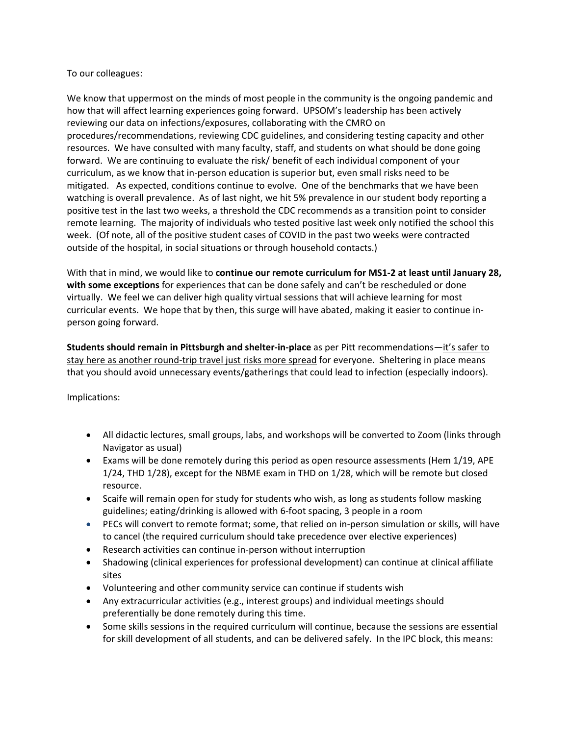## To our colleagues:

We know that uppermost on the minds of most people in the community is the ongoing pandemic and how that will affect learning experiences going forward. UPSOM's leadership has been actively reviewing our data on infections/exposures, collaborating with the CMRO on procedures/recommendations, reviewing CDC guidelines, and considering testing capacity and other resources. We have consulted with many faculty, staff, and students on what should be done going forward. We are continuing to evaluate the risk/ benefit of each individual component of your curriculum, as we know that in‐person education is superior but, even small risks need to be mitigated. As expected, conditions continue to evolve. One of the benchmarks that we have been watching is overall prevalence. As of last night, we hit 5% prevalence in our student body reporting a positive test in the last two weeks, a threshold the CDC recommends as a transition point to consider remote learning. The majority of individuals who tested positive last week only notified the school this week. (Of note, all of the positive student cases of COVID in the past two weeks were contracted outside of the hospital, in social situations or through household contacts.)

With that in mind, we would like to **continue our remote curriculum for MS1‐2 at least until January 28, with some exceptions** for experiences that can be done safely and can't be rescheduled or done virtually. We feel we can deliver high quality virtual sessions that will achieve learning for most curricular events. We hope that by then, this surge will have abated, making it easier to continue in‐ person going forward.

**Students should remain in Pittsburgh and shelter‐in‐place** as per Pitt recommendations—it's safer to stay here as another round-trip travel just risks more spread for everyone. Sheltering in place means that you should avoid unnecessary events/gatherings that could lead to infection (especially indoors).

Implications:

- All didactic lectures, small groups, labs, and workshops will be converted to Zoom (links through Navigator as usual)
- Exams will be done remotely during this period as open resource assessments (Hem 1/19, APE 1/24, THD 1/28), except for the NBME exam in THD on 1/28, which will be remote but closed resource.
- Scaife will remain open for study for students who wish, as long as students follow masking guidelines; eating/drinking is allowed with 6‐foot spacing, 3 people in a room
- PECs will convert to remote format; some, that relied on in-person simulation or skills, will have to cancel (the required curriculum should take precedence over elective experiences)
- Research activities can continue in‐person without interruption
- Shadowing (clinical experiences for professional development) can continue at clinical affiliate sites
- Volunteering and other community service can continue if students wish
- Any extracurricular activities (e.g., interest groups) and individual meetings should preferentially be done remotely during this time.
- Some skills sessions in the required curriculum will continue, because the sessions are essential for skill development of all students, and can be delivered safely. In the IPC block, this means: